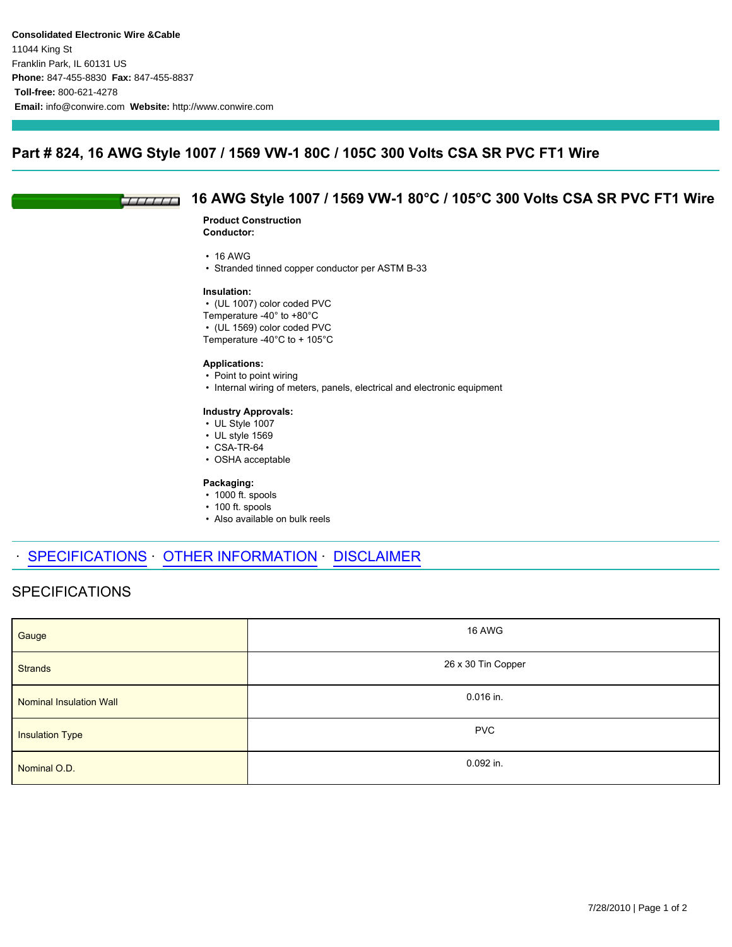### **Part # 824, 16 AWG Style 1007 / 1569 VW-1 80C / 105C 300 Volts CSA SR PVC FT1 Wire**

#### **16 AWG Style 1007 / 1569 VW-1 80°C / 105°C 300 Volts CSA SR PVC FT1 Wire**  $TTITIT$

#### **Product Construction Conductor:**

- 16 AWG
- Stranded tinned copper conductor per ASTM B-33

#### **Insulation:**

- (UL 1007) color coded PVC
- Temperature -40° to +80°C
- (UL 1569) color coded PVC

Temperature -40°C to + 105°C

#### **Applications:**

- Point to point wiring
- Internal wiring of meters, panels, electrical and electronic equipment

### **Industry Approvals:**

- UL Style 1007
- UL style 1569
- CSA-TR-64
- OSHA acceptable

#### **Packaging:**

- 1000 ft. spools
- 100 ft. spools
- Also available on bulk reels

# SPECIFICATIONS OTHER INFORMATION DISCLAIMER

# SPECIFICATIONS

| Gauge                   | 16 AWG             |
|-------------------------|--------------------|
| <b>Strands</b>          | 26 x 30 Tin Copper |
| Nominal Insulation Wall | 0.016 in.          |
| <b>Insulation Type</b>  | <b>PVC</b>         |
| Nominal O.D.            | 0.092 in.          |